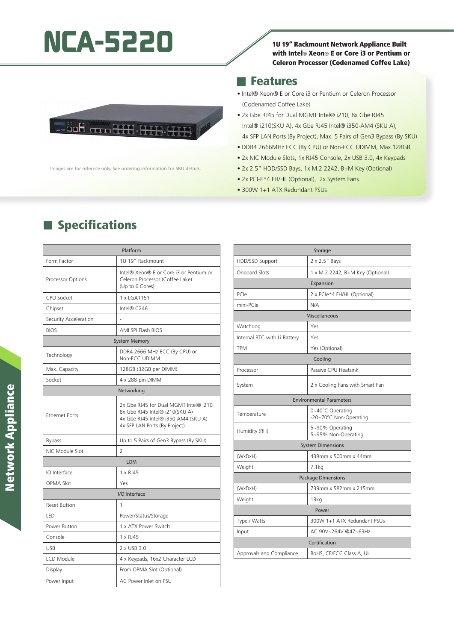## NCA-5220 1U 19" Rackmount Network Appliance Built



#### **Features**

- Intel® Xeon® E or Core i3 or Pentium or Celeron Processor (Codenamed Coffee Lake)
- 2x Gbe RJ45 for Dual MGMT Intel® i210, 8x Gbe RJ45 Intel® i210(SKU A), 4x Gbe RJ45 Intel® i350-AM4 (SKU A), 4x SFP LAN Ports (By Project), Max. 5 Pairs of Gen3 Bypass (By SKU)
- DDR4 2666MHz ECC (By CPU) or Non-ECC UDIMM, Max.128GB
- 2x NIC Module Slots, 1x RJ45 Console, 2x USB 3.0, 4x Keypads
- 2x 2.5" HDD/SSD Bays, 1x M.2 2242, B+M Key (Optional)
- 2x PCI-E\*4 FH/HL (Optional), 2x System Fans
- 300W 1+1 ATX Redundant PSUs



lmages are for refernce only. See ordering information for SKU details.

# Platform

**Specifications** 

| Form Factor           | 1U 19" Rackmount                                                                                                                                |  |
|-----------------------|-------------------------------------------------------------------------------------------------------------------------------------------------|--|
| Processor Options     | Intel® Xeon® E or Core i3 or Pentium or<br>Celeron Processor (Coffee Lake)<br>(Up to 6 Cores)                                                   |  |
| <b>CPU Socket</b>     | 1 x LGA1151                                                                                                                                     |  |
| Chipset               | Intel® C246                                                                                                                                     |  |
| Security Acceleration |                                                                                                                                                 |  |
| <b>BIOS</b>           | <b>AMI SPI Flash BIOS</b>                                                                                                                       |  |
| <b>System Memory</b>  |                                                                                                                                                 |  |
| Technology            | DDR4 2666 MHz ECC (By CPU) or<br>Non-ECC UDIMM                                                                                                  |  |
| Max. Capacity         | 128GB (32GB per DIMM)                                                                                                                           |  |
| Socket                | 4 x 288-pin DIMM                                                                                                                                |  |
| Networking            |                                                                                                                                                 |  |
| <b>Ethernet Ports</b> | 2x Gbe RJ45 for Dual MGMT Intel® i210<br>8x Gbe RJ45 Intel® i210(SKU A)<br>4x Gbe RJ45 Intel® i350-AM4 (SKU A)<br>4x SFP LAN Ports (By Project) |  |
| <b>Bypass</b>         | Up to 5 Pairs of Gen3 Bypass (By SKU)                                                                                                           |  |
| NIC Module Slot       | $\overline{2}$                                                                                                                                  |  |
| <b>LOM</b>            |                                                                                                                                                 |  |
| IO Interface          | 1 x RJ45                                                                                                                                        |  |
| OPMA Slot             | Yes                                                                                                                                             |  |
| I/O Interface         |                                                                                                                                                 |  |
| <b>Reset Button</b>   | 1                                                                                                                                               |  |
| LED                   | Power/Status/Storage                                                                                                                            |  |
| Power Button          | 1 x ATX Power Switch                                                                                                                            |  |
| Console               | 1 x RJ45                                                                                                                                        |  |
| <b>USB</b>            | 2 x USB 3.0                                                                                                                                     |  |
| LCD Module            | 4 x Keypads, 16x2 Character LCD                                                                                                                 |  |
| Display               | From OPMA Slot (Optional)                                                                                                                       |  |
| Power Input           | AC Power Inlet on PSU                                                                                                                           |  |

| Storage                         |                                            |  |
|---------------------------------|--------------------------------------------|--|
| HDD/SSD Support                 | 2 x 2.5" Bays                              |  |
| Onboard Slots                   | 1 x M.2 2242, B+M Key (Optional)           |  |
| Expansion                       |                                            |  |
| PCIe                            | 2 x PCle*4 FH/HL (Optional)                |  |
| mini-PCle                       | N/A                                        |  |
| Miscellaneous                   |                                            |  |
| Watchdog                        | Yes                                        |  |
| Internal RTC with Li Battery    | Yes                                        |  |
| <b>TPM</b>                      | Yes (Optional)                             |  |
| Cooling                         |                                            |  |
| Processor                       | Passive CPU Heatsink                       |  |
| System                          | 2 x Cooling Fans with Smart Fan            |  |
| <b>Environmental Parameters</b> |                                            |  |
| Temperature                     | 0~40°C Operating<br>-20~70°C Non-Operating |  |
| Humidity (RH)                   | 5~90% Operating<br>5~95% Non-Operating     |  |
| <b>System Dimensions</b>        |                                            |  |
| (WxDxH)                         | 438mm x 500mm x 44mm                       |  |
| Weight                          | 7.1kg                                      |  |
| <b>Package Dimensions</b>       |                                            |  |
| (WxDxH)                         | 739mm x 582mm x 215mm                      |  |
| Weight                          | 13 <sub>kq</sub>                           |  |
| Power                           |                                            |  |
| Type / Watts                    | 300W 1+1 ATX Redundant PSUs                |  |
| Input                           | AC 90V~264V @47~63Hz                       |  |
| Certification                   |                                            |  |
| Approvals and Compliance        | RoHS, CE/FCC Class A, UL                   |  |